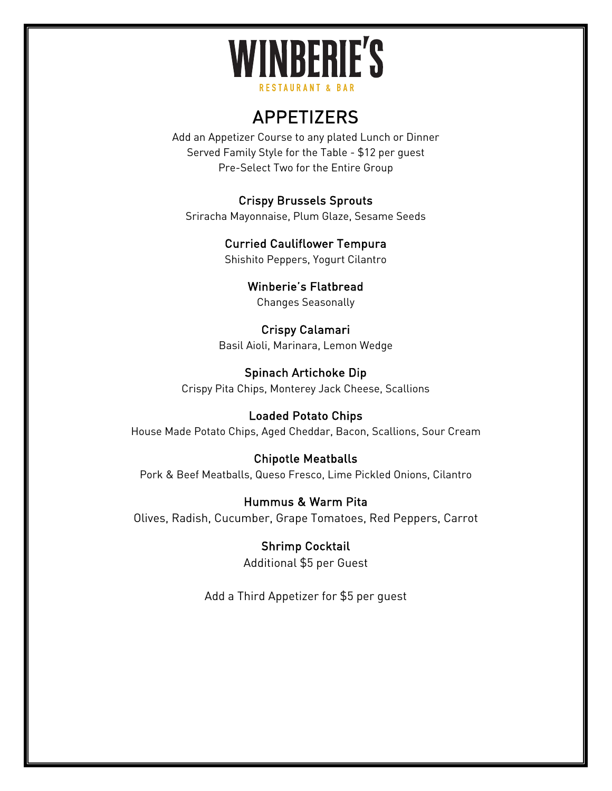# **WINBERIE'S RESTAURANT & BAR**

# APPETIZERS

Add an Appetizer Course to any plated Lunch or Dinner Served Family Style for the Table - \$12 per guest Pre-Select Two for the Entire Group

#### Crispy Brussels Sprouts

Sriracha Mayonnaise, Plum Glaze, Sesame Seeds

Curried Cauliflower Tempura Shishito Peppers, Yogurt Cilantro

> Winberie's Flatbread Changes Seasonally

Crispy Calamari Basil Aioli, Marinara, Lemon Wedge

Spinach Artichoke Dip Crispy Pita Chips, Monterey Jack Cheese, Scallions

Loaded Potato Chips House Made Potato Chips, Aged Cheddar, Bacon, Scallions, Sour Cream

Chipotle Meatballs Pork & Beef Meatballs, Queso Fresco, Lime Pickled Onions, Cilantro

Hummus & Warm Pita Olives, Radish, Cucumber, Grape Tomatoes, Red Peppers, Carrot

> Shrimp Cocktail Additional \$5 per Guest

Add a Third Appetizer for \$5 per guest